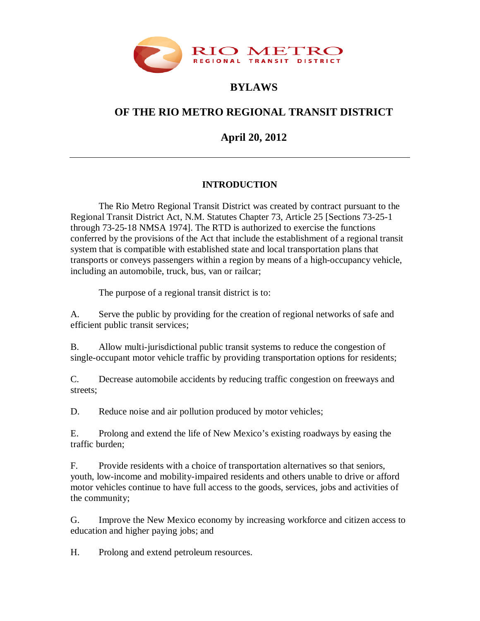

# **BYLAWS**

# **OF THE RIO METRO REGIONAL TRANSIT DISTRICT**

**April 20, 2012**

## **INTRODUCTION**

The Rio Metro Regional Transit District was created by contract pursuant to the Regional Transit District Act, N.M. Statutes Chapter 73, Article 25 [Sections 73-25-1 through 73-25-18 NMSA 1974]. The RTD is authorized to exercise the functions conferred by the provisions of the Act that include the establishment of a regional transit system that is compatible with established state and local transportation plans that transports or conveys passengers within a region by means of a high-occupancy vehicle, including an automobile, truck, bus, van or railcar;

The purpose of a regional transit district is to:

A. Serve the public by providing for the creation of regional networks of safe and efficient public transit services;

B. Allow multi-jurisdictional public transit systems to reduce the congestion of single-occupant motor vehicle traffic by providing transportation options for residents;

C. Decrease automobile accidents by reducing traffic congestion on freeways and streets;

D. Reduce noise and air pollution produced by motor vehicles;

E. Prolong and extend the life of New Mexico's existing roadways by easing the traffic burden;

F. Provide residents with a choice of transportation alternatives so that seniors, youth, low-income and mobility-impaired residents and others unable to drive or afford motor vehicles continue to have full access to the goods, services, jobs and activities of the community;

G. Improve the New Mexico economy by increasing workforce and citizen access to education and higher paying jobs; and

H. Prolong and extend petroleum resources.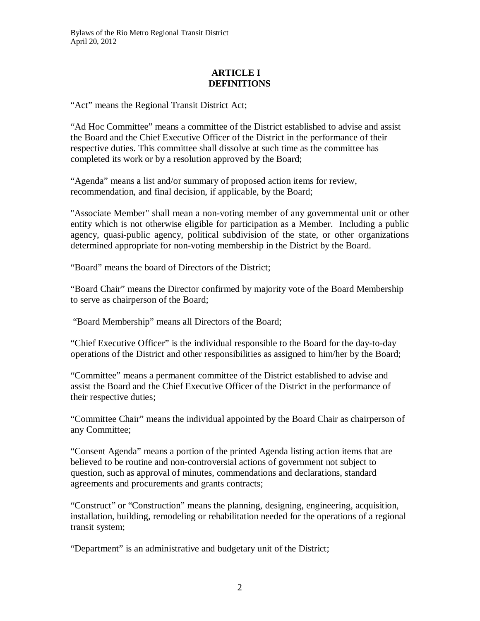#### **ARTICLE I DEFINITIONS**

"Act" means the Regional Transit District Act;

"Ad Hoc Committee" means a committee of the District established to advise and assist the Board and the Chief Executive Officer of the District in the performance of their respective duties. This committee shall dissolve at such time as the committee has completed its work or by a resolution approved by the Board;

"Agenda" means a list and/or summary of proposed action items for review, recommendation, and final decision, if applicable, by the Board;

"Associate Member" shall mean a non-voting member of any governmental unit or other entity which is not otherwise eligible for participation as a Member. Including a public agency, quasi-public agency, political subdivision of the state, or other organizations determined appropriate for non-voting membership in the District by the Board.

"Board" means the board of Directors of the District;

"Board Chair" means the Director confirmed by majority vote of the Board Membership to serve as chairperson of the Board;

"Board Membership" means all Directors of the Board;

"Chief Executive Officer" is the individual responsible to the Board for the day-to-day operations of the District and other responsibilities as assigned to him/her by the Board;

"Committee" means a permanent committee of the District established to advise and assist the Board and the Chief Executive Officer of the District in the performance of their respective duties;

"Committee Chair" means the individual appointed by the Board Chair as chairperson of any Committee;

"Consent Agenda" means a portion of the printed Agenda listing action items that are believed to be routine and non-controversial actions of government not subject to question, such as approval of minutes, commendations and declarations, standard agreements and procurements and grants contracts;

"Construct" or "Construction" means the planning, designing, engineering, acquisition, installation, building, remodeling or rehabilitation needed for the operations of a regional transit system;

"Department" is an administrative and budgetary unit of the District;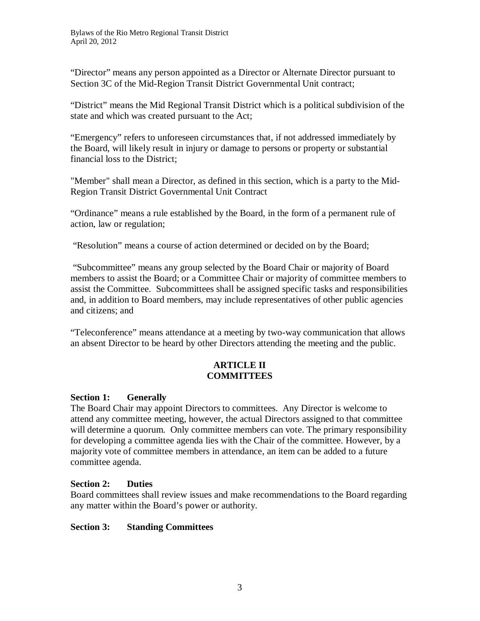"Director" means any person appointed as a Director or Alternate Director pursuant to Section 3C of the Mid-Region Transit District Governmental Unit contract;

"District" means the Mid Regional Transit District which is a political subdivision of the state and which was created pursuant to the Act;

"Emergency" refers to unforeseen circumstances that, if not addressed immediately by the Board, will likely result in injury or damage to persons or property or substantial financial loss to the District;

"Member" shall mean a Director, as defined in this section, which is a party to the Mid-Region Transit District Governmental Unit Contract

"Ordinance" means a rule established by the Board, in the form of a permanent rule of action, law or regulation;

"Resolution" means a course of action determined or decided on by the Board;

"Subcommittee" means any group selected by the Board Chair or majority of Board members to assist the Board; or a Committee Chair or majority of committee members to assist the Committee. Subcommittees shall be assigned specific tasks and responsibilities and, in addition to Board members, may include representatives of other public agencies and citizens; and

"Teleconference" means attendance at a meeting by two-way communication that allows an absent Director to be heard by other Directors attending the meeting and the public.

#### **ARTICLE II COMMITTEES**

#### **Section 1: Generally**

The Board Chair may appoint Directors to committees. Any Director is welcome to attend any committee meeting, however, the actual Directors assigned to that committee will determine a quorum. Only committee members can vote. The primary responsibility for developing a committee agenda lies with the Chair of the committee. However, by a majority vote of committee members in attendance, an item can be added to a future committee agenda.

## **Section 2: Duties**

Board committees shall review issues and make recommendations to the Board regarding any matter within the Board's power or authority.

#### **Section 3: Standing Committees**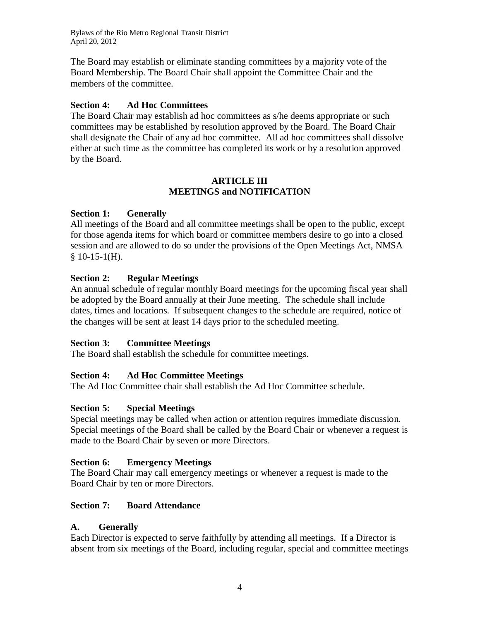The Board may establish or eliminate standing committees by a majority vote of the Board Membership. The Board Chair shall appoint the Committee Chair and the members of the committee.

#### **Section 4: Ad Hoc Committees**

The Board Chair may establish ad hoc committees as s/he deems appropriate or such committees may be established by resolution approved by the Board. The Board Chair shall designate the Chair of any ad hoc committee. All ad hoc committees shall dissolve either at such time as the committee has completed its work or by a resolution approved by the Board.

#### **ARTICLE III MEETINGS and NOTIFICATION**

#### **Section 1: Generally**

All meetings of the Board and all committee meetings shall be open to the public, except for those agenda items for which board or committee members desire to go into a closed session and are allowed to do so under the provisions of the Open Meetings Act, NMSA  $$10-15-1(H).$ 

#### **Section 2: Regular Meetings**

An annual schedule of regular monthly Board meetings for the upcoming fiscal year shall be adopted by the Board annually at their June meeting. The schedule shall include dates, times and locations. If subsequent changes to the schedule are required, notice of the changes will be sent at least 14 days prior to the scheduled meeting.

#### **Section 3: Committee Meetings**

The Board shall establish the schedule for committee meetings.

#### **Section 4: Ad Hoc Committee Meetings**

The Ad Hoc Committee chair shall establish the Ad Hoc Committee schedule.

#### **Section 5: Special Meetings**

Special meetings may be called when action or attention requires immediate discussion. Special meetings of the Board shall be called by the Board Chair or whenever a request is made to the Board Chair by seven or more Directors.

#### **Section 6: Emergency Meetings**

The Board Chair may call emergency meetings or whenever a request is made to the Board Chair by ten or more Directors.

#### **Section 7: Board Attendance**

#### **A. Generally**

Each Director is expected to serve faithfully by attending all meetings. If a Director is absent from six meetings of the Board, including regular, special and committee meetings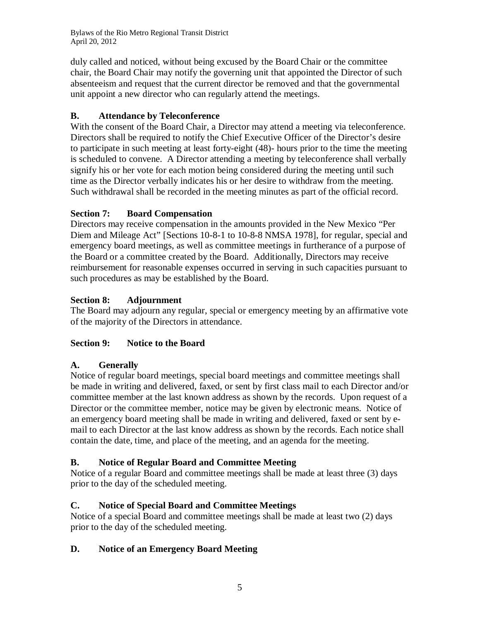duly called and noticed, without being excused by the Board Chair or the committee chair, the Board Chair may notify the governing unit that appointed the Director of such absenteeism and request that the current director be removed and that the governmental unit appoint a new director who can regularly attend the meetings.

## **B. Attendance by Teleconference**

With the consent of the Board Chair, a Director may attend a meeting via teleconference. Directors shall be required to notify the Chief Executive Officer of the Director's desire to participate in such meeting at least forty-eight (48)- hours prior to the time the meeting is scheduled to convene. A Director attending a meeting by teleconference shall verbally signify his or her vote for each motion being considered during the meeting until such time as the Director verbally indicates his or her desire to withdraw from the meeting. Such withdrawal shall be recorded in the meeting minutes as part of the official record.

## **Section 7: Board Compensation**

Directors may receive compensation in the amounts provided in the New Mexico "Per Diem and Mileage Act" [Sections 10-8-1 to 10-8-8 NMSA 1978], for regular, special and emergency board meetings, as well as committee meetings in furtherance of a purpose of the Board or a committee created by the Board. Additionally, Directors may receive reimbursement for reasonable expenses occurred in serving in such capacities pursuant to such procedures as may be established by the Board.

## **Section 8: Adjournment**

The Board may adjourn any regular, special or emergency meeting by an affirmative vote of the majority of the Directors in attendance.

## **Section 9: Notice to the Board**

## **A. Generally**

Notice of regular board meetings, special board meetings and committee meetings shall be made in writing and delivered, faxed, or sent by first class mail to each Director and/or committee member at the last known address as shown by the records. Upon request of a Director or the committee member, notice may be given by electronic means. Notice of an emergency board meeting shall be made in writing and delivered, faxed or sent by email to each Director at the last know address as shown by the records. Each notice shall contain the date, time, and place of the meeting, and an agenda for the meeting.

## **B. Notice of Regular Board and Committee Meeting**

Notice of a regular Board and committee meetings shall be made at least three (3) days prior to the day of the scheduled meeting.

## **C. Notice of Special Board and Committee Meetings**

Notice of a special Board and committee meetings shall be made at least two (2) days prior to the day of the scheduled meeting.

## **D. Notice of an Emergency Board Meeting**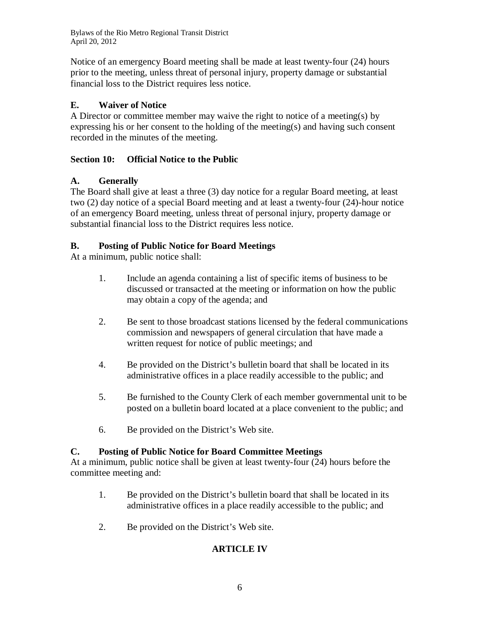Notice of an emergency Board meeting shall be made at least twenty-four (24) hours prior to the meeting, unless threat of personal injury, property damage or substantial financial loss to the District requires less notice.

## **E. Waiver of Notice**

A Director or committee member may waive the right to notice of a meeting(s) by expressing his or her consent to the holding of the meeting(s) and having such consent recorded in the minutes of the meeting.

## **Section 10: Official Notice to the Public**

## **A. Generally**

The Board shall give at least a three (3) day notice for a regular Board meeting, at least two (2) day notice of a special Board meeting and at least a twenty-four (24)-hour notice of an emergency Board meeting, unless threat of personal injury, property damage or substantial financial loss to the District requires less notice.

## **B. Posting of Public Notice for Board Meetings**

At a minimum, public notice shall:

- 1. Include an agenda containing a list of specific items of business to be discussed or transacted at the meeting or information on how the public may obtain a copy of the agenda; and
- 2. Be sent to those broadcast stations licensed by the federal communications commission and newspapers of general circulation that have made a written request for notice of public meetings; and
- 4. Be provided on the District's bulletin board that shall be located in its administrative offices in a place readily accessible to the public; and
- 5. Be furnished to the County Clerk of each member governmental unit to be posted on a bulletin board located at a place convenient to the public; and
- 6. Be provided on the District's Web site.

## **C. Posting of Public Notice for Board Committee Meetings**

At a minimum, public notice shall be given at least twenty-four (24) hours before the committee meeting and:

- 1. Be provided on the District's bulletin board that shall be located in its administrative offices in a place readily accessible to the public; and
- 2. Be provided on the District's Web site.

## **ARTICLE IV**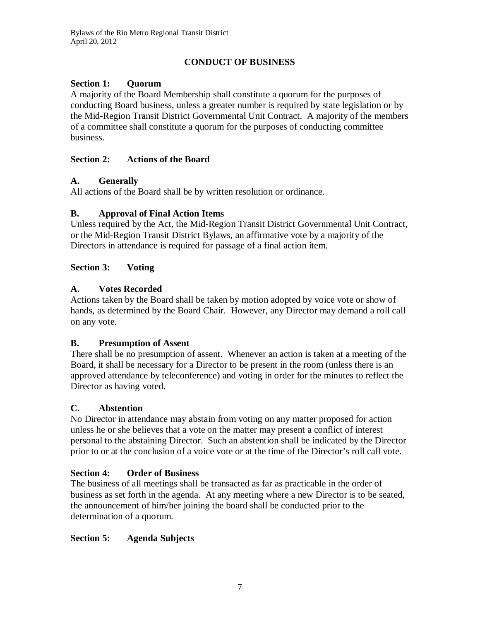## **CONDUCT OF BUSINESS**

### **Section 1: Quorum**

A majority of the Board Membership shall constitute a quorum for the purposes of conducting Board business, unless a greater number is required by state legislation or by the Mid-Region Transit District Governmental Unit Contract. A majority of the members of a committee shall constitute a quorum for the purposes of conducting committee business.

#### **Section 2: Actions of the Board**

#### **A. Generally**

All actions of the Board shall be by written resolution or ordinance.

## **B. Approval of Final Action Items**

Unless required by the Act, the Mid-Region Transit District Governmental Unit Contract, or the Mid-Region Transit District Bylaws, an affirmative vote by a majority of the Directors in attendance is required for passage of a final action item.

#### **Section 3: Voting**

## **A. Votes Recorded**

Actions taken by the Board shall be taken by motion adopted by voice vote or show of hands, as determined by the Board Chair. However, any Director may demand a roll call on any vote.

## **B. Presumption of Assent**

There shall be no presumption of assent. Whenever an action is taken at a meeting of the Board, it shall be necessary for a Director to be present in the room (unless there is an approved attendance by teleconference) and voting in order for the minutes to reflect the Director as having voted.

#### **C. Abstention**

No Director in attendance may abstain from voting on any matter proposed for action unless he or she believes that a vote on the matter may present a conflict of interest personal to the abstaining Director. Such an abstention shall be indicated by the Director prior to or at the conclusion of a voice vote or at the time of the Director's roll call vote.

## **Section 4: Order of Business**

The business of all meetings shall be transacted as far as practicable in the order of business as set forth in the agenda. At any meeting where a new Director is to be seated, the announcement of him/her joining the board shall be conducted prior to the determination of a quorum.

## **Section 5: Agenda Subjects**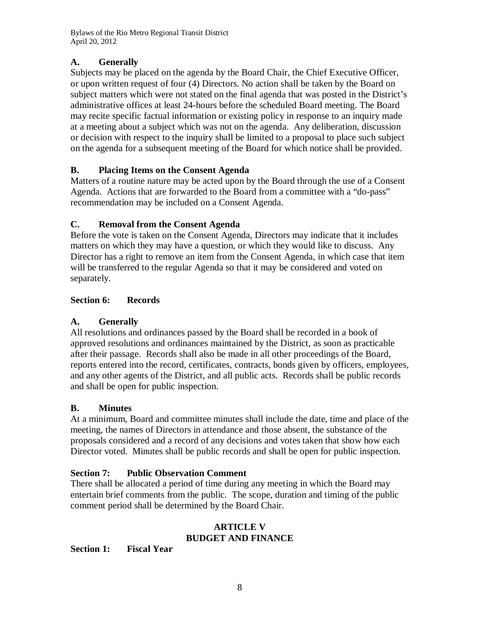## **A. Generally**

Subjects may be placed on the agenda by the Board Chair, the Chief Executive Officer, or upon written request of four (4) Directors. No action shall be taken by the Board on subject matters which were not stated on the final agenda that was posted in the District's administrative offices at least 24-hours before the scheduled Board meeting. The Board may recite specific factual information or existing policy in response to an inquiry made at a meeting about a subject which was not on the agenda. Any deliberation, discussion or decision with respect to the inquiry shall be limited to a proposal to place such subject on the agenda for a subsequent meeting of the Board for which notice shall be provided.

## **B. Placing Items on the Consent Agenda**

Matters of a routine nature may be acted upon by the Board through the use of a Consent Agenda. Actions that are forwarded to the Board from a committee with a "do-pass" recommendation may be included on a Consent Agenda.

## **C. Removal from the Consent Agenda**

Before the vote is taken on the Consent Agenda, Directors may indicate that it includes matters on which they may have a question, or which they would like to discuss. Any Director has a right to remove an item from the Consent Agenda, in which case that item will be transferred to the regular Agenda so that it may be considered and voted on separately.

## **Section 6: Records**

## **A. Generally**

All resolutions and ordinances passed by the Board shall be recorded in a book of approved resolutions and ordinances maintained by the District, as soon as practicable after their passage. Records shall also be made in all other proceedings of the Board, reports entered into the record, certificates, contracts, bonds given by officers, employees, and any other agents of the District, and all public acts. Records shall be public records and shall be open for public inspection.

## **B. Minutes**

At a minimum, Board and committee minutes shall include the date, time and place of the meeting, the names of Directors in attendance and those absent, the substance of the proposals considered and a record of any decisions and votes taken that show how each Director voted. Minutes shall be public records and shall be open for public inspection.

## **Section 7: Public Observation Comment**

There shall be allocated a period of time during any meeting in which the Board may entertain brief comments from the public. The scope, duration and timing of the public comment period shall be determined by the Board Chair.

#### **ARTICLE V BUDGET AND FINANCE**

**Section 1: Fiscal Year**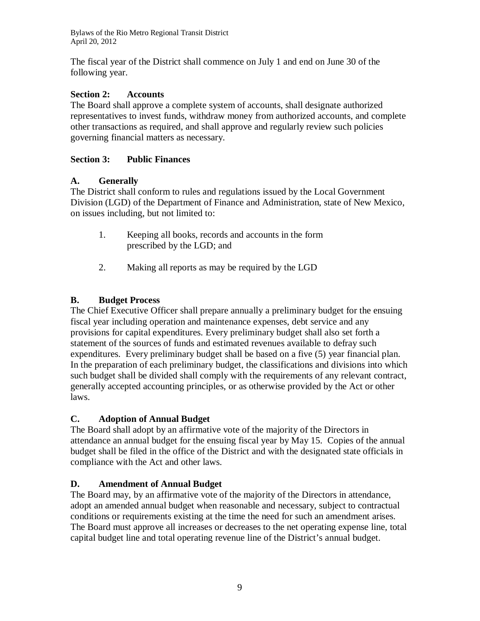The fiscal year of the District shall commence on July 1 and end on June 30 of the following year.

#### **Section 2: Accounts**

The Board shall approve a complete system of accounts, shall designate authorized representatives to invest funds, withdraw money from authorized accounts, and complete other transactions as required, and shall approve and regularly review such policies governing financial matters as necessary.

#### **Section 3: Public Finances**

#### **A. Generally**

The District shall conform to rules and regulations issued by the Local Government Division (LGD) of the Department of Finance and Administration, state of New Mexico, on issues including, but not limited to:

- 1. Keeping all books, records and accounts in the form prescribed by the LGD; and
- 2. Making all reports as may be required by the LGD

#### **B. Budget Process**

The Chief Executive Officer shall prepare annually a preliminary budget for the ensuing fiscal year including operation and maintenance expenses, debt service and any provisions for capital expenditures. Every preliminary budget shall also set forth a statement of the sources of funds and estimated revenues available to defray such expenditures. Every preliminary budget shall be based on a five (5) year financial plan. In the preparation of each preliminary budget, the classifications and divisions into which such budget shall be divided shall comply with the requirements of any relevant contract, generally accepted accounting principles, or as otherwise provided by the Act or other laws.

#### **C. Adoption of Annual Budget**

The Board shall adopt by an affirmative vote of the majority of the Directors in attendance an annual budget for the ensuing fiscal year by May 15. Copies of the annual budget shall be filed in the office of the District and with the designated state officials in compliance with the Act and other laws.

#### **D. Amendment of Annual Budget**

The Board may, by an affirmative vote of the majority of the Directors in attendance, adopt an amended annual budget when reasonable and necessary, subject to contractual conditions or requirements existing at the time the need for such an amendment arises. The Board must approve all increases or decreases to the net operating expense line, total capital budget line and total operating revenue line of the District's annual budget.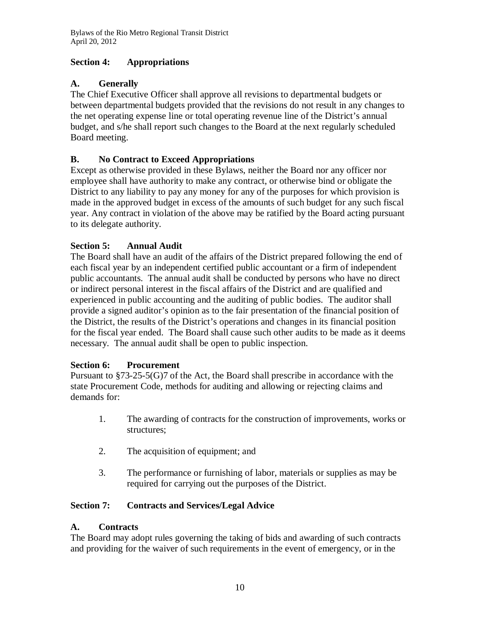## **Section 4: Appropriations**

## **A. Generally**

The Chief Executive Officer shall approve all revisions to departmental budgets or between departmental budgets provided that the revisions do not result in any changes to the net operating expense line or total operating revenue line of the District's annual budget, and s/he shall report such changes to the Board at the next regularly scheduled Board meeting.

## **B. No Contract to Exceed Appropriations**

Except as otherwise provided in these Bylaws, neither the Board nor any officer nor employee shall have authority to make any contract, or otherwise bind or obligate the District to any liability to pay any money for any of the purposes for which provision is made in the approved budget in excess of the amounts of such budget for any such fiscal year. Any contract in violation of the above may be ratified by the Board acting pursuant to its delegate authority.

## **Section 5: Annual Audit**

The Board shall have an audit of the affairs of the District prepared following the end of each fiscal year by an independent certified public accountant or a firm of independent public accountants. The annual audit shall be conducted by persons who have no direct or indirect personal interest in the fiscal affairs of the District and are qualified and experienced in public accounting and the auditing of public bodies. The auditor shall provide a signed auditor's opinion as to the fair presentation of the financial position of the District, the results of the District's operations and changes in its financial position for the fiscal year ended. The Board shall cause such other audits to be made as it deems necessary. The annual audit shall be open to public inspection.

## **Section 6: Procurement**

Pursuant to §73-25-5(G)7 of the Act, the Board shall prescribe in accordance with the state Procurement Code, methods for auditing and allowing or rejecting claims and demands for:

- 1. The awarding of contracts for the construction of improvements, works or structures;
- 2. The acquisition of equipment; and
- 3. The performance or furnishing of labor, materials or supplies as may be required for carrying out the purposes of the District.

## **Section 7: Contracts and Services/Legal Advice**

## **A. Contracts**

The Board may adopt rules governing the taking of bids and awarding of such contracts and providing for the waiver of such requirements in the event of emergency, or in the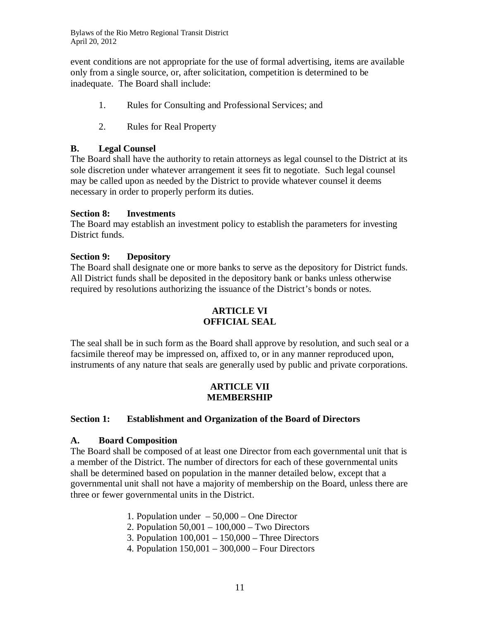event conditions are not appropriate for the use of formal advertising, items are available only from a single source, or, after solicitation, competition is determined to be inadequate. The Board shall include:

- 1. Rules for Consulting and Professional Services; and
- 2. Rules for Real Property

#### **B. Legal Counsel**

The Board shall have the authority to retain attorneys as legal counsel to the District at its sole discretion under whatever arrangement it sees fit to negotiate. Such legal counsel may be called upon as needed by the District to provide whatever counsel it deems necessary in order to properly perform its duties.

#### **Section 8: Investments**

The Board may establish an investment policy to establish the parameters for investing District funds.

#### **Section 9: Depository**

The Board shall designate one or more banks to serve as the depository for District funds. All District funds shall be deposited in the depository bank or banks unless otherwise required by resolutions authorizing the issuance of the District's bonds or notes.

#### **ARTICLE VI OFFICIAL SEAL**

The seal shall be in such form as the Board shall approve by resolution, and such seal or a facsimile thereof may be impressed on, affixed to, or in any manner reproduced upon, instruments of any nature that seals are generally used by public and private corporations.

#### **ARTICLE VII MEMBERSHIP**

#### **Section 1: Establishment and Organization of the Board of Directors**

#### **A. Board Composition**

The Board shall be composed of at least one Director from each governmental unit that is a member of the District. The number of directors for each of these governmental units shall be determined based on population in the manner detailed below, except that a governmental unit shall not have a majority of membership on the Board, unless there are three or fewer governmental units in the District.

1. Population under – 50,000 – One Director

- 2. Population 50,001 100,000 Two Directors
- 3. Population 100,001 150,000 Three Directors
- 4. Population 150,001 300,000 Four Directors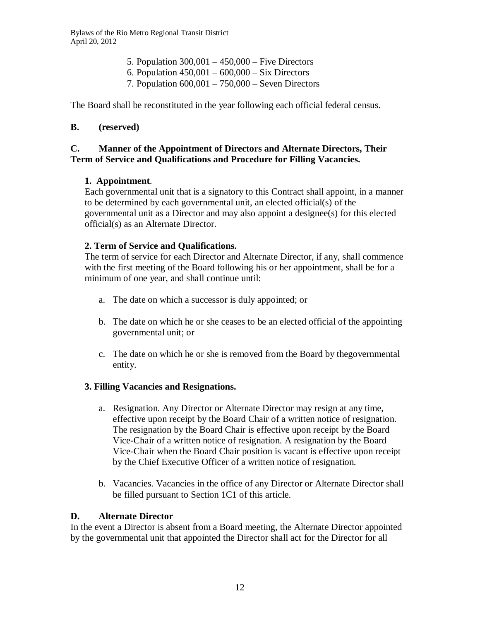- 5. Population 300,001 450,000 Five Directors
- 6. Population  $450,001 600,000 Six Directors$
- 7. Population 600,001 750,000 Seven Directors

The Board shall be reconstituted in the year following each official federal census.

#### **B. (reserved)**

#### **C. Manner of the Appointment of Directors and Alternate Directors, Their Term of Service and Qualifications and Procedure for Filling Vacancies.**

#### **1. Appointment**.

Each governmental unit that is a signatory to this Contract shall appoint, in a manner to be determined by each governmental unit, an elected official(s) of the governmental unit as a Director and may also appoint a designee(s) for this elected official(s) as an Alternate Director.

#### **2. Term of Service and Qualifications.**

The term of service for each Director and Alternate Director, if any, shall commence with the first meeting of the Board following his or her appointment, shall be for a minimum of one year, and shall continue until:

- a. The date on which a successor is duly appointed; or
- b. The date on which he or she ceases to be an elected official of the appointing governmental unit; or
- c. The date on which he or she is removed from the Board by thegovernmental entity.

#### **3. Filling Vacancies and Resignations.**

- a. Resignation. Any Director or Alternate Director may resign at any time, effective upon receipt by the Board Chair of a written notice of resignation. The resignation by the Board Chair is effective upon receipt by the Board Vice-Chair of a written notice of resignation. A resignation by the Board Vice-Chair when the Board Chair position is vacant is effective upon receipt by the Chief Executive Officer of a written notice of resignation.
- b. Vacancies. Vacancies in the office of any Director or Alternate Director shall be filled pursuant to Section 1C1 of this article.

#### **D. Alternate Director**

In the event a Director is absent from a Board meeting, the Alternate Director appointed by the governmental unit that appointed the Director shall act for the Director for all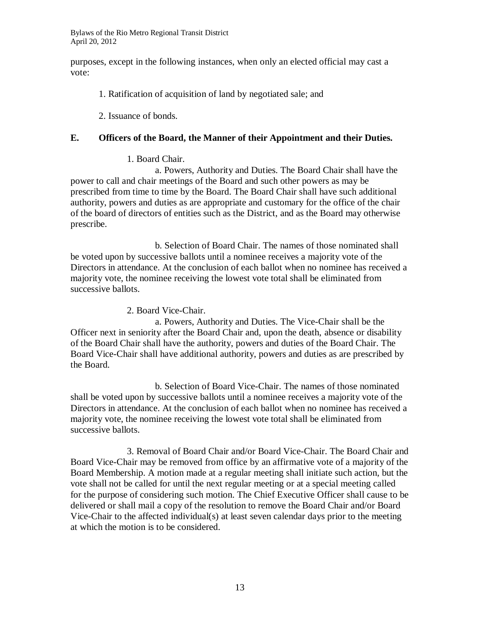purposes, except in the following instances, when only an elected official may cast a vote:

- 1. Ratification of acquisition of land by negotiated sale; and
- 2. Issuance of bonds.

#### **E. Officers of the Board, the Manner of their Appointment and their Duties.**

#### 1. Board Chair.

a. Powers, Authority and Duties. The Board Chair shall have the power to call and chair meetings of the Board and such other powers as may be prescribed from time to time by the Board. The Board Chair shall have such additional authority, powers and duties as are appropriate and customary for the office of the chair of the board of directors of entities such as the District, and as the Board may otherwise prescribe.

b. Selection of Board Chair. The names of those nominated shall be voted upon by successive ballots until a nominee receives a majority vote of the Directors in attendance. At the conclusion of each ballot when no nominee has received a majority vote, the nominee receiving the lowest vote total shall be eliminated from successive ballots.

2. Board Vice-Chair.

a. Powers, Authority and Duties. The Vice-Chair shall be the Officer next in seniority after the Board Chair and, upon the death, absence or disability of the Board Chair shall have the authority, powers and duties of the Board Chair. The Board Vice-Chair shall have additional authority, powers and duties as are prescribed by the Board.

b. Selection of Board Vice-Chair. The names of those nominated shall be voted upon by successive ballots until a nominee receives a majority vote of the Directors in attendance. At the conclusion of each ballot when no nominee has received a majority vote, the nominee receiving the lowest vote total shall be eliminated from successive ballots.

3. Removal of Board Chair and/or Board Vice-Chair. The Board Chair and Board Vice-Chair may be removed from office by an affirmative vote of a majority of the Board Membership. A motion made at a regular meeting shall initiate such action, but the vote shall not be called for until the next regular meeting or at a special meeting called for the purpose of considering such motion. The Chief Executive Officer shall cause to be delivered or shall mail a copy of the resolution to remove the Board Chair and/or Board Vice-Chair to the affected individual(s) at least seven calendar days prior to the meeting at which the motion is to be considered.